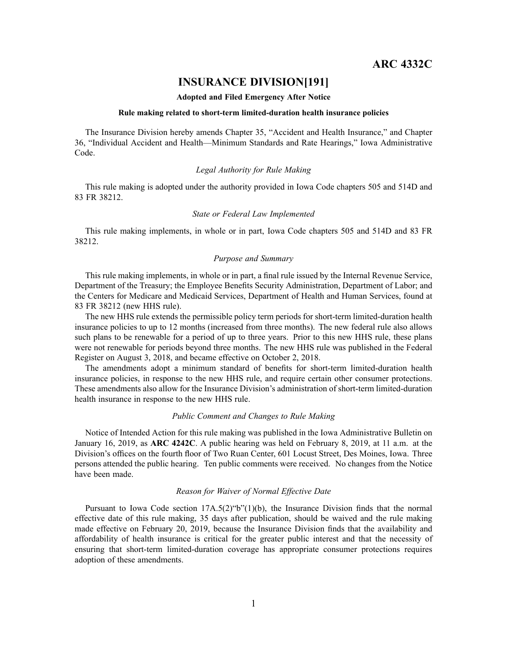## **INSURANCE DIVISION[191]**

#### **Adopted and Filed Emergency After Notice**

#### **Rule making related to short-term limited-duration health insurance policies**

The Insurance Division hereby amends Chapter 35, "Accident and Health Insurance," and Chapter 36, "Individual Accident and Health—Minimum Standards and Rate Hearings," Iowa Administrative Code.

## *Legal Authority for Rule Making*

This rule making is adopted under the authority provided in Iowa Code chapters 505 and 514D and 83 FR 38212.

## *State or Federal Law Implemented*

This rule making implements, in whole or in part, Iowa Code chapters 505 and 514D and 83 FR 38212.

## *Purpose and Summary*

This rule making implements, in whole or in part, <sup>a</sup> final rule issued by the Internal Revenue Service, Department of the Treasury; the Employee Benefits Security Administration, Department of Labor; and the Centers for Medicare and Medicaid Services, Department of Health and Human Services, found at 83 FR 38212 (new HHS rule).

The new HHS rule extends the permissible policy term periods for short-term limited-duration health insurance policies to up to 12 months (increased from three months). The new federal rule also allows such plans to be renewable for <sup>a</sup> period of up to three years. Prior to this new HHS rule, these plans were not renewable for periods beyond three months. The new HHS rule was published in the Federal Register on August 3, 2018, and became effective on October 2, 2018.

The amendments adopt <sup>a</sup> minimum standard of benefits for short-term limited-duration health insurance policies, in response to the new HHS rule, and require certain other consumer protections. These amendments also allow for the Insurance Division's administration of short-term limited-duration health insurance in response to the new HHS rule.

#### *Public Comment and Changes to Rule Making*

Notice of Intended Action for this rule making was published in the Iowa Administrative Bulletin on January 16, 2019, as **ARC 4242C**. A public hearing was held on February 8, 2019, at 11 a.m. at the Division's offices on the fourth floor of Two Ruan Center, 601 Locust Street, Des Moines, Iowa. Three persons attended the public hearing. Ten public comments were received. No changes from the Notice have been made.

## *Reason for Waiver of Normal Effective Date*

Pursuant to Iowa Code section  $17A.5(2)$  "b" $(1)(b)$ , the Insurance Division finds that the normal effective date of this rule making, 35 days after publication, should be waived and the rule making made effective on February 20, 2019, because the Insurance Division finds that the availability and affordability of health insurance is critical for the greater public interest and that the necessity of ensuring that short-term limited-duration coverage has appropriate consumer protections requires adoption of these amendments.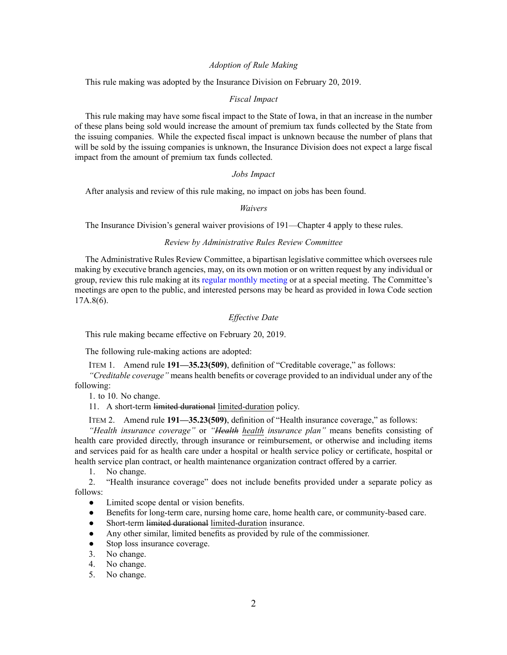#### *Adoption of Rule Making*

This rule making was adopted by the Insurance Division on February 20, 2019.

#### *Fiscal Impact*

This rule making may have some fiscal impact to the State of Iowa, in that an increase in the number of these plans being sold would increase the amount of premium tax funds collected by the State from the issuing companies. While the expected fiscal impact is unknown because the number of plans that will be sold by the issuing companies is unknown, the Insurance Division does not expec<sup>t</sup> <sup>a</sup> large fiscal impact from the amount of premium tax funds collected.

#### *Jobs Impact*

After analysis and review of this rule making, no impact on jobs has been found.

#### *Waivers*

The Insurance Division's general waiver provisions of 191—Chapter 4 apply to these rules.

### *Review by Administrative Rules Review Committee*

The Administrative Rules Review Committee, <sup>a</sup> bipartisan legislative committee which oversees rule making by executive branch agencies, may, on its own motion or on written reques<sup>t</sup> by any individual or group, review this rule making at its regular [monthly](https://www.legis.iowa.gov/committees/meetings/meetingsListComm?groupID=705&ga=88) meeting or at <sup>a</sup> special meeting. The Committee's meetings are open to the public, and interested persons may be heard as provided in Iowa Code section 17A.8(6).

## *Effective Date*

This rule making became effective on February 20, 2019.

The following rule-making actions are adopted:

ITEM 1. Amend rule **191—35.23(509)**, definition of "Creditable coverage," as follows:

*"Creditable coverage"* means health benefits or coverage provided to an individual under any of the following:

1. to 10. No change.

11. A short-term limited durational limited-duration policy.

ITEM 2. Amend rule **191—35.23(509)**, definition of "Health insurance coverage," as follows:

*"Health insurance coverage"* or *"Health health insurance plan"* means benefits consisting of health care provided directly, through insurance or reimbursement, or otherwise and including items and services paid for as health care under <sup>a</sup> hospital or health service policy or certificate, hospital or health service plan contract, or health maintenance organization contract offered by <sup>a</sup> carrier.

1. No change.

2. "Health insurance coverage" does not include benefits provided under <sup>a</sup> separate policy as follows:

- $\bullet$ Limited scope dental or vision benefits.
- $\bullet$ Benefits for long-term care, nursing home care, home health care, or community-based care.
- $\bullet$ Short-term limited durational limited-duration insurance.
- $\bullet$ Any other similar, limited benefits as provided by rule of the commissioner.
- $\bullet$ Stop loss insurance coverage.
- 3. No change.
- 4. No change.
- 5. No change.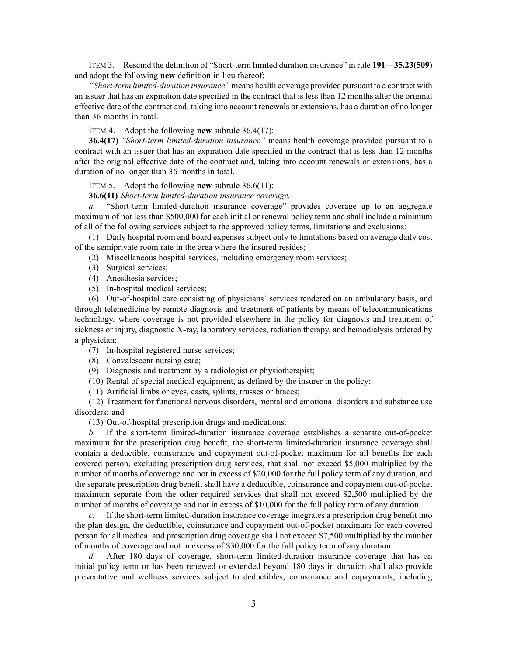ITEM 3. Rescind the definition of "Short-term limited duration insurance" in rule **191—35.23(509)** and adopt the following **new** definition in lieu thereof:

*"Short-term limited-duration insurance"* means health coverage provided pursuan<sup>t</sup> to <sup>a</sup> contract with an issuer that has an expiration date specified in the contract that is less than 12 months after the original effective date of the contract and, taking into account renewals or extensions, has <sup>a</sup> duration of no longer than 36 months in total.

ITEM 4. Adopt the following **new** subrule 36.4(17):

**36.4(17)** *"Short-term limited-duration insurance"* means health coverage provided pursuan<sup>t</sup> to <sup>a</sup> contract with an issuer that has an expiration date specified in the contract that is less than 12 months after the original effective date of the contract and, taking into account renewals or extensions, has <sup>a</sup> duration of no longer than 36 months in total.

ITEM 5. Adopt the following **new** subrule 36.6(11):

**36.6(11)** *Short-term limited-duration insurance coverage.*

*a.* "Short-term limited-duration insurance coverage" provides coverage up to an aggregate maximum of not less than \$500,000 for each initial or renewal policy term and shall include <sup>a</sup> minimum of all of the following services subject to the approved policy terms, limitations and exclusions:

(1) Daily hospital room and board expenses subject only to limitations based on average daily cost of the semiprivate room rate in the area where the insured resides;

(2) Miscellaneous hospital services, including emergency room services;

- (3) Surgical services;
- (4) Anesthesia services;
- (5) In-hospital medical services;

(6) Out-of-hospital care consisting of physicians' services rendered on an ambulatory basis, and through telemedicine by remote diagnosis and treatment of patients by means of telecommunications technology, where coverage is not provided elsewhere in the policy for diagnosis and treatment of sickness or injury, diagnostic X-ray, laboratory services, radiation therapy, and hemodialysis ordered by <sup>a</sup> physician;

- (7) In-hospital registered nurse services;
- (8) Convalescent nursing care;
- (9) Diagnosis and treatment by <sup>a</sup> radiologist or physiotherapist;
- (10) Rental of special medical equipment, as defined by the insurer in the policy;

(11) Artificial limbs or eyes, casts, splints, trusses or braces;

(12) Treatment for functional nervous disorders, mental and emotional disorders and substance use disorders; and

(13) Out-of-hospital prescription drugs and medications.

*b.* If the short-term limited-duration insurance coverage establishes <sup>a</sup> separate out-of-pocket maximum for the prescription drug benefit, the short-term limited-duration insurance coverage shall contain <sup>a</sup> deductible, coinsurance and copaymen<sup>t</sup> out-of-pocket maximum for all benefits for each covered person, excluding prescription drug services, that shall not exceed \$5,000 multiplied by the number of months of coverage and not in excess of \$20,000 for the full policy term of any duration, and the separate prescription drug benefit shall have <sup>a</sup> deductible, coinsurance and copaymen<sup>t</sup> out-of-pocket maximum separate from the other required services that shall not exceed \$2,500 multiplied by the number of months of coverage and not in excess of \$10,000 for the full policy term of any duration.

*c.* If the short-term limited-duration insurance coverage integrates <sup>a</sup> prescription drug benefit into the plan design, the deductible, coinsurance and copaymen<sup>t</sup> out-of-pocket maximum for each covered person for all medical and prescription drug coverage shall not exceed \$7,500 multiplied by the number of months of coverage and not in excess of \$30,000 for the full policy term of any duration.

*d.* After 180 days of coverage, short-term limited-duration insurance coverage that has an initial policy term or has been renewed or extended beyond 180 days in duration shall also provide preventative and wellness services subject to deductibles, coinsurance and copayments, including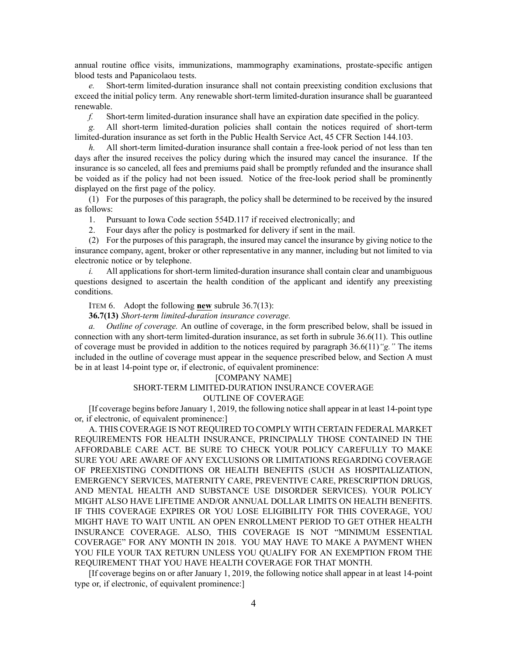annual routine office visits, immunizations, mammography examinations, prostate-specific antigen blood tests and Papanicolaou tests.

*e.* Short-term limited-duration insurance shall not contain preexisting condition exclusions that exceed the initial policy term. Any renewable short-term limited-duration insurance shall be guaranteed renewable.

*f.* Short-term limited-duration insurance shall have an expiration date specified in the policy.

*g.* All short-term limited-duration policies shall contain the notices required of short-term limited-duration insurance as set forth in the Public Health Service Act, 45 CFR Section 144.103.

*h.* All short-term limited-duration insurance shall contain <sup>a</sup> free-look period of not less than ten days after the insured receives the policy during which the insured may cancel the insurance. If the insurance is so canceled, all fees and premiums paid shall be promptly refunded and the insurance shall be voided as if the policy had not been issued. Notice of the free-look period shall be prominently displayed on the first page of the policy.

(1) For the purposes of this paragraph, the policy shall be determined to be received by the insured as follows:

1. Pursuant to Iowa Code section [554D.117](https://www.legis.iowa.gov/docs/ico/section/554D.117.pdf) if received electronically; and

2. Four days after the policy is postmarked for delivery if sent in the mail.

(2) For the purposes of this paragraph, the insured may cancel the insurance by giving notice to the insurance company, agent, broker or other representative in any manner, including but not limited to via electronic notice or by telephone.

*i.* All applications for short-term limited-duration insurance shall contain clear and unambiguous questions designed to ascertain the health condition of the applicant and identify any preexisting conditions.

ITEM 6. Adopt the following **new** subrule 36.7(13):

**36.7(13)** *Short-term limited-duration insurance coverage.*

*a. Outline of coverage.* An outline of coverage, in the form prescribed below, shall be issued in connection with any short-term limited-duration insurance, as set forth in subrule 36.6(11). This outline of coverage must be provided in addition to the notices required by paragraph 36.6(11)*"g."* The items included in the outline of coverage must appear in the sequence prescribed below, and Section A must be in at least 14-point type or, if electronic, of equivalent prominence:

#### [COMPANY NAME]

## SHORT-TERM LIMITED-DURATION INSURANCE COVERAGE

#### OUTLINE OF COVERAGE

[If coverage begins before January 1, 2019, the following notice shall appear in at least 14-point type or, if electronic, of equivalent prominence:]

A. THIS COVERAGE IS NOT REQUIRED TO COMPLY WITH CERTAIN FEDERAL MARKET REQUIREMENTS FOR HEALTH INSURANCE, PRINCIPALLY THOSE CONTAINED IN THE AFFORDABLE CARE ACT. BE SURE TO CHECK YOUR POLICY CAREFULLY TO MAKE SURE YOU ARE AWARE OF ANY EXCLUSIONS OR LIMITATIONS REGARDING COVERAGE OF PREEXISTING CONDITIONS OR HEALTH BENEFITS (SUCH AS HOSPITALIZATION, EMERGENCY SERVICES, MATERNITY CARE, PREVENTIVE CARE, PRESCRIPTION DRUGS, AND MENTAL HEALTH AND SUBSTANCE USE DISORDER SERVICES). YOUR POLICY MIGHT ALSO HAVE LIFETIME AND/OR ANNUAL DOLLAR LIMITS ON HEALTH BENEFITS. IF THIS COVERAGE EXPIRES OR YOU LOSE ELIGIBILITY FOR THIS COVERAGE, YOU MIGHT HAVE TO WAIT UNTIL AN OPEN ENROLLMENT PERIOD TO GET OTHER HEALTH INSURANCE COVERAGE. ALSO, THIS COVERAGE IS NOT "MINIMUM ESSENTIAL COVERAGE" FOR ANY MONTH IN 2018. YOU MAY HAVE TO MAKE A PAYMENT WHEN YOU FILE YOUR TAX RETURN UNLESS YOU QUALIFY FOR AN EXEMPTION FROM THE REQUIREMENT THAT YOU HAVE HEALTH COVERAGE FOR THAT MONTH.

[If coverage begins on or after January 1, 2019, the following notice shall appear in at least 14-point type or, if electronic, of equivalent prominence:]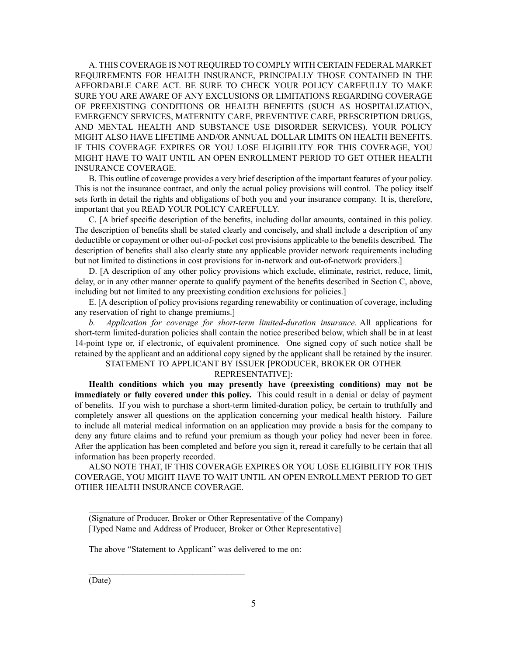A. THIS COVERAGE IS NOT REQUIRED TO COMPLY WITH CERTAIN FEDERAL MARKET REQUIREMENTS FOR HEALTH INSURANCE, PRINCIPALLY THOSE CONTAINED IN THE AFFORDABLE CARE ACT. BE SURE TO CHECK YOUR POLICY CAREFULLY TO MAKE SURE YOU ARE AWARE OF ANY EXCLUSIONS OR LIMITATIONS REGARDING COVERAGE OF PREEXISTING CONDITIONS OR HEALTH BENEFITS (SUCH AS HOSPITALIZATION, EMERGENCY SERVICES, MATERNITY CARE, PREVENTIVE CARE, PRESCRIPTION DRUGS, AND MENTAL HEALTH AND SUBSTANCE USE DISORDER SERVICES). YOUR POLICY MIGHT ALSO HAVE LIFETIME AND/OR ANNUAL DOLLAR LIMITS ON HEALTH BENEFITS. IF THIS COVERAGE EXPIRES OR YOU LOSE ELIGIBILITY FOR THIS COVERAGE, YOU MIGHT HAVE TO WAIT UNTIL AN OPEN ENROLLMENT PERIOD TO GET OTHER HEALTH INSURANCE COVERAGE.

B. This outline of coverage provides <sup>a</sup> very brief description of the important features of your policy. This is not the insurance contract, and only the actual policy provisions will control. The policy itself sets forth in detail the rights and obligations of both you and your insurance company. It is, therefore, important that you READ YOUR POLICY CAREFULLY.

C. [A brief specific description of the benefits, including dollar amounts, contained in this policy. The description of benefits shall be stated clearly and concisely, and shall include <sup>a</sup> description of any deductible or copaymen<sup>t</sup> or other out-of-pocket cost provisions applicable to the benefits described. The description of benefits shall also clearly state any applicable provider network requirements including but not limited to distinctions in cost provisions for in-network and out-of-network providers.]

D. [A description of any other policy provisions which exclude, eliminate, restrict, reduce, limit, delay, or in any other manner operate to qualify paymen<sup>t</sup> of the benefits described in Section C, above, including but not limited to any preexisting condition exclusions for policies.]

E. [A description of policy provisions regarding renewability or continuation of coverage, including any reservation of right to change premiums.]

*b. Application for coverage for short-term limited-duration insurance.* All applications for short-term limited-duration policies shall contain the notice prescribed below, which shall be in at least 14-point type or, if electronic, of equivalent prominence. One signed copy of such notice shall be retained by the applicant and an additional copy signed by the applicant shall be retained by the insurer.

# STATEMENT TO APPLICANT BY ISSUER [PRODUCER, BROKER OR OTHER

## REPRESENTATIVE]:

**Health conditions which you may presently have (preexisting conditions) may not be immediately or fully covered under this policy.** This could result in <sup>a</sup> denial or delay of paymen<sup>t</sup> of benefits. If you wish to purchase <sup>a</sup> short-term limited-duration policy, be certain to truthfully and completely answer all questions on the application concerning your medical health history. Failure to include all material medical information on an application may provide <sup>a</sup> basis for the company to deny any future claims and to refund your premium as though your policy had never been in force. After the application has been completed and before you sign it, reread it carefully to be certain that all information has been properly recorded.

ALSO NOTE THAT, IF THIS COVERAGE EXPIRES OR YOU LOSE ELIGIBILITY FOR THIS COVERAGE, YOU MIGHT HAVE TO WAIT UNTIL AN OPEN ENROLLMENT PERIOD TO GET OTHER HEALTH INSURANCE COVERAGE.

(Signature of Producer, Broker or Other Representative of the Company) [Typed Name and Address of Producer, Broker or Other Representative]

The above "Statement to Applicant" was delivered to me on:

\_\_\_\_\_\_\_\_\_\_\_\_\_\_\_\_\_\_\_\_\_\_\_\_\_\_\_\_\_\_\_\_\_\_\_\_\_\_\_\_\_\_\_\_\_

 $\mathcal{L}_\text{max}$ 

(Date)